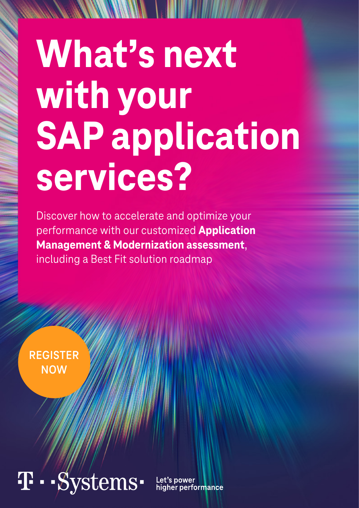# What's next **with your SAP application services?**

Discover how to accelerate and optimize your performance with our customized **Application Management & Modernization assessment**, including a Best Fit solution roadmap

**[REGISTER](mailto:dynamic-services%40t-systems.com?subject=) NOW**

# -Systems-

Let's power higher performance